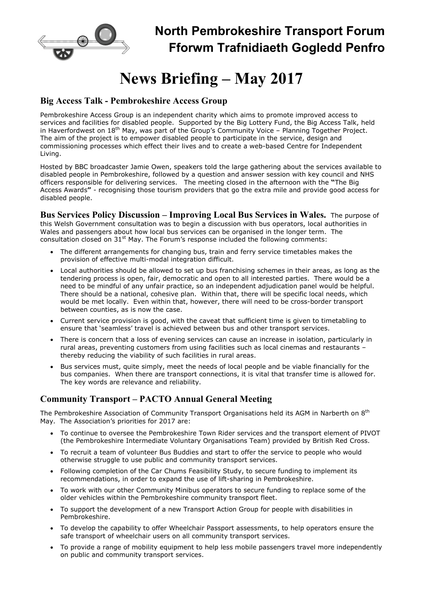

# News Briefing – May 2017

## Big Access Talk - Pembrokeshire Access Group

Pembrokeshire Access Group is an independent charity which aims to promote improved access to services and facilities for disabled people. Supported by the Big Lottery Fund, the Big Access Talk, held in Haverfordwest on 18th May, was part of the Group's Community Voice – Planning Together Project. The aim of the project is to empower disabled people to participate in the service, design and commissioning processes which effect their lives and to create a web-based Centre for Independent Living.

Hosted by BBC broadcaster Jamie Owen, speakers told the large gathering about the services available to disabled people in Pembrokeshire, followed by a question and answer session with key council and NHS officers responsible for delivering services. The meeting closed in the afternoon with the "The Big Access Awards" - recognising those tourism providers that go the extra mile and provide good access for disabled people.

Bus Services Policy Discussion – Improving Local Bus Services in Wales. The purpose of this Welsh Government consultation was to begin a discussion with bus operators, local authorities in Wales and passengers about how local bus services can be organised in the longer term. The consultation closed on  $31<sup>st</sup>$  May. The Forum's response included the following comments:

- The different arrangements for changing bus, train and ferry service timetables makes the provision of effective multi-modal integration difficult.
- Local authorities should be allowed to set up bus franchising schemes in their areas, as long as the tendering process is open, fair, democratic and open to all interested parties. There would be a need to be mindful of any unfair practice, so an independent adjudication panel would be helpful. There should be a national, cohesive plan. Within that, there will be specific local needs, which would be met locally. Even within that, however, there will need to be cross-border transport between counties, as is now the case.
- Current service provision is good, with the caveat that sufficient time is given to timetabling to ensure that 'seamless' travel is achieved between bus and other transport services.
- There is concern that a loss of evening services can cause an increase in isolation, particularly in rural areas, preventing customers from using facilities such as local cinemas and restaurants – thereby reducing the viability of such facilities in rural areas.
- Bus services must, quite simply, meet the needs of local people and be viable financially for the bus companies. When there are transport connections, it is vital that transfer time is allowed for. The key words are relevance and reliability.

## Community Transport – PACTO Annual General Meeting

The Pembrokeshire Association of Community Transport Organisations held its AGM in Narberth on 8<sup>th</sup> May. The Association's priorities for 2017 are:

- To continue to oversee the Pembrokeshire Town Rider services and the transport element of PIVOT (the Pembrokeshire Intermediate Voluntary Organisations Team) provided by British Red Cross.
- To recruit a team of volunteer Bus Buddies and start to offer the service to people who would otherwise struggle to use public and community transport services.
- Following completion of the Car Chums Feasibility Study, to secure funding to implement its recommendations, in order to expand the use of lift-sharing in Pembrokeshire.
- To work with our other Community Minibus operators to secure funding to replace some of the older vehicles within the Pembrokeshire community transport fleet.
- To support the development of a new Transport Action Group for people with disabilities in Pembrokeshire.
- To develop the capability to offer Wheelchair Passport assessments, to help operators ensure the safe transport of wheelchair users on all community transport services.
- To provide a range of mobility equipment to help less mobile passengers travel more independently on public and community transport services.